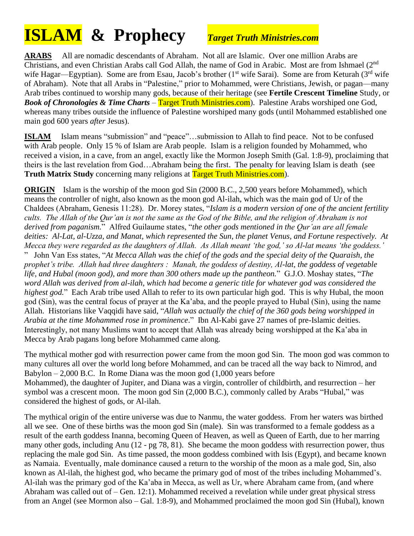# **ISLAM & Prophecy** *Target Truth Ministries.com*

**ARABS** All are nomadic descendants of Abraham. Not all are Islamic. Over one million Arabs are Christians, and even Christian Arabs call God Allah, the name of God in Arabic. Most are from Ishmael (2<sup>nd</sup> wife Hagar—Egyptian). Some are from Esau, Jacob's brother (1<sup>st</sup> wife Sarai). Some are from Keturah (3<sup>rd</sup> wife of Abraham). Note that all Arabs in "Palestine," prior to Mohammed, were Christians, Jewish, or pagan—many Arab tribes continued to worship many gods, because of their heritage (see **Fertile Crescent Timeline** Study, or *Book of Chronologies & Time Charts* – Target Truth Ministries.com). Palestine Arabs worshiped one God, whereas many tribes outside the influence of Palestine worshiped many gods (until Mohammed established one main god 600 years *after* Jesus).

**ISLAM** Islam means "submission" and "peace"...submission to Allah to find peace. Not to be confused with Arab people. Only 15 % of Islam are Arab people. Islam is a religion founded by Mohammed, who received a vision, in a cave, from an angel, exactly like the Mormon Joseph Smith (Gal. 1:8-9), proclaiming that theirs is the last revelation from God…Abraham being the first. The penalty for leaving Islam is death (see **Truth Matrix Study** concerning many religions at Target Truth Ministries.com).

**ORIGIN** Islam is the worship of the moon god Sin (2000 B.C., 2,500 years before Mohammed), which means the controller of night, also known as the moon god Al-ilah, which was the main god of Ur of the Chaldees (Abraham, Genesis 11:28). Dr. Morey states, "*Islam is a modern version of one of the ancient fertility cults. The Allah of the Qur'an is not the same as the God of the Bible, and the religion of Abraham is not derived from paganism.*" Alfred Guilaume states, "*the other gods mentioned in the Qur'an are all female deities: Al-Lat, al-Uzza, and Manat, which represented the Sun, the planet Venus, and Fortune respectively. At Mecca they were regarded as the daughters of Allah. As Allah meant 'the god,' so Al-lat means 'the goddess.'* " John Van Ess states, "*At Mecca Allah was the chief of the gods and the special deity of the Quaraish, the prophet's tribe. Allah had three daughters : Manah, the goddess of destiny, Al-lat, the goddess of vegetable life, and Hubal (moon god), and more than 300 others made up the pantheon.*" G.J.O. Moshay states, "*The word Allah was derived from al-ilah, which had become a generic title for whatever god was considered the highest god.*" Each Arab tribe used Allah to refer to its own particular high god. This is why Hubal, the moon god (Sin), was the central focus of prayer at the Ka'aba, and the people prayed to Hubal (Sin), using the name Allah. Historians like Vaqqidi have said, "*Allah was actually the chief of the 360 gods being worshipped in Arabia at the time Mohammed rose in prominence*." Ibn Al-Kabi gave 27 names of pre-Islamic deities. Interestingly, not many Muslims want to accept that Allah was already being worshipped at the Ka'aba in Mecca by Arab pagans long before Mohammed came along.

The mythical mother god with resurrection power came from the moon god Sin. The moon god was common to many cultures all over the world long before Mohammed, and can be traced all the way back to Nimrod, and Babylon  $-2,000$  B.C. In Rome Diana was the moon god  $(1,000)$  years before Mohammed), the daughter of Jupiter, and Diana was a virgin, controller of childbirth, and resurrection – her symbol was a crescent moon. The moon god Sin (2,000 B.C.), commonly called by Arabs "Hubal," was considered the highest of gods, or Al-ilah.

The mythical origin of the entire universe was due to Nanmu, the water goddess. From her waters was birthed all we see. One of these births was the moon god Sin (male). Sin was transformed to a female goddess as a result of the earth goddess Inanna, becoming Queen of Heaven, as well as Queen of Earth, due to her marring many other gods, including Anu (12 - pg 78, 81). She became the moon goddess with resurrection power, thus replacing the male god Sin. As time passed, the moon goddess combined with Isis (Egypt), and became known as Namaia. Eventually, male dominance caused a return to the worship of the moon as a male god, Sin, also known as Al-ilah, the highest god, who became the primary god of most of the tribes including Mohammed's. Al-ilah was the primary god of the Ka'aba in Mecca, as well as Ur, where Abraham came from, (and where Abraham was called out of – Gen. 12:1). Mohammed received a revelation while under great physical stress from an Angel (see Mormon also – Gal. 1:8-9), and Mohammed proclaimed the moon god Sin (Hubal), known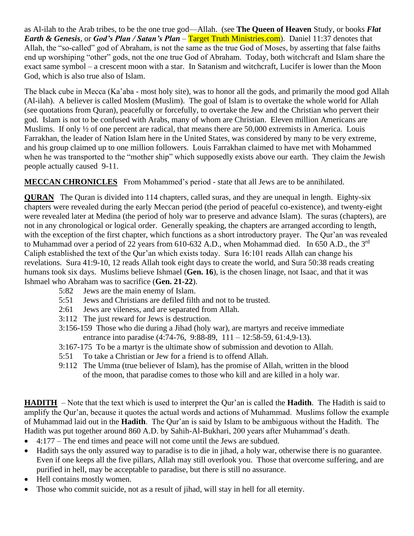as Al-ilah to the Arab tribes, to be the one true god—Allah. (see **The Queen of Heaven** Study, or books *Flat Earth & Genesis*, or *God's Plan / Satan's Plan* – Target Truth Ministries.com). Daniel 11:37 denotes that Allah, the "so-called" god of Abraham, is not the same as the true God of Moses, by asserting that false faiths end up worshiping "other" gods, not the one true God of Abraham. Today, both witchcraft and Islam share the exact same symbol – a crescent moon with a star. In Satanism and witchcraft, Lucifer is lower than the Moon God, which is also true also of Islam.

The black cube in Mecca (Ka'aba - most holy site), was to honor all the gods, and primarily the mood god Allah (Al-ilah). A believer is called Moslem (Muslim). The goal of Islam is to overtake the whole world for Allah (see quotations from Quran), peacefully or forcefully, to overtake the Jew and the Christian who pervert their god. Islam is not to be confused with Arabs, many of whom are Christian. Eleven million Americans are Muslims. If only  $\frac{1}{2}$  of one percent are radical, that means there are 50,000 extremists in America. Louis Farrakhan, the leader of Nation Islam here in the United States, was considered by many to be very extreme, and his group claimed up to one million followers. Louis Farrakhan claimed to have met with Mohammed when he was transported to the "mother ship" which supposedly exists above our earth. They claim the Jewish people actually caused 9-11.

**MECCAN CHRONICLES** From Mohammed's period - state that all Jews are to be annihilated.

**QURAN** The Quran is divided into 114 chapters, called suras, and they are unequal in length. Eighty-six chapters were revealed during the early Meccan period (the period of peaceful co-existence), and twenty-eight were revealed later at Medina (the period of holy war to preserve and advance Islam). The suras (chapters), are not in any chronological or logical order. Generally speaking, the chapters are arranged according to length, with the exception of the first chapter, which functions as a short introductory prayer. The Qur'an was revealed to Muhammad over a period of 22 years from 610-632 A.D., when Mohammad died. In 650 A.D., the 3<sup>rd</sup> Caliph established the text of the Qur'an which exists today. Sura 16:101 reads Allah can change his revelations. Sura 41:9-10, 12 reads Allah took eight days to create the world, and Sura 50:38 reads creating humans took six days. Muslims believe Ishmael (**Gen. 16**), is the chosen linage, not Isaac, and that it was Ishmael who Abraham was to sacrifice (**Gen. 21-22**).

- 5:82 Jews are the main enemy of Islam.
- 5:51 Jews and Christians are defiled filth and not to be trusted.
- 2:61 Jews are vileness, and are separated from Allah.
- 3:112 The just reward for Jews is destruction.
- 3:156-159 Those who die during a Jihad (holy war), are martyrs and receive immediate entrance into paradise (4:74-76, 9:88-89, 111 – 12:58-59, 61:4,9-13).
- 3:167-175 To be a martyr is the ultimate show of submission and devotion to Allah.
- 5:51 To take a Christian or Jew for a friend is to offend Allah.
- 9:112 The Umma (true believer of Islam), has the promise of Allah, written in the blood of the moon, that paradise comes to those who kill and are killed in a holy war.

**HADITH** – Note that the text which is used to interpret the Qur'an is called the **Hadith**. The Hadith is said to amplify the Qur'an, because it quotes the actual words and actions of Muhammad. Muslims follow the example of Muhammad laid out in the **Hadith**. The Qur'an is said by Islam to be ambiguous without the Hadith. The Hadith was put together around 860 A.D. by Sahih-Al-Bukhari, 200 years after Muhammad's death.

- 4:177 The end times and peace will not come until the Jews are subdued.
- Hadith says the only assured way to paradise is to die in jihad, a holy war, otherwise there is no guarantee. Even if one keeps all the five pillars, Allah may still overlook you. Those that overcome suffering, and are purified in hell, may be acceptable to paradise, but there is still no assurance.
- Hell contains mostly women.
- Those who commit suicide, not as a result of jihad, will stay in hell for all eternity.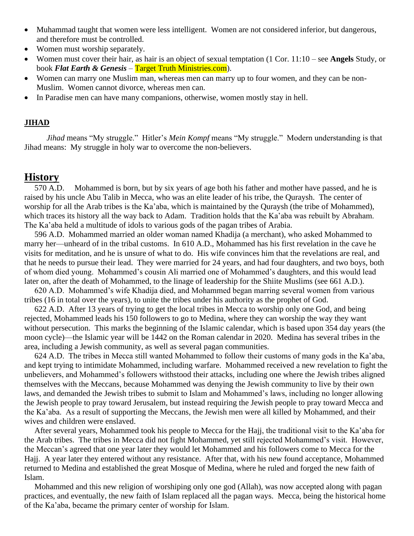- Muhammad taught that women were less intelligent. Women are not considered inferior, but dangerous, and therefore must be controlled.
- Women must worship separately.
- Women must cover their hair, as hair is an object of sexual temptation (1 Cor. 11:10 see **Angels** Study, or book *Flat Earth & Genesis* – Target Truth Ministries.com).
- Women can marry one Muslim man, whereas men can marry up to four women, and they can be non-Muslim. Women cannot divorce, whereas men can.
- In Paradise men can have many companions, otherwise, women mostly stay in hell.

#### **JIHAD**

 *Jihad* means "My struggle." Hitler's *Mein Kompf* means "My struggle." Modern understanding is that Jihad means: My struggle in holy war to overcome the non-believers.

#### **History**

 570 A.D. Mohammed is born, but by six years of age both his father and mother have passed, and he is raised by his uncle Abu Talib in Mecca, who was an elite leader of his tribe, the Quraysh. The center of worship for all the Arab tribes is the Ka'aba, which is maintained by the Quraysh (the tribe of Mohammed), which traces its history all the way back to Adam. Tradition holds that the Ka'aba was rebuilt by Abraham. The Ka'aba held a multitude of idols to various gods of the pagan tribes of Arabia.

 596 A.D. Mohammed married an older woman named Khadija (a merchant), who asked Mohammed to marry her—unheard of in the tribal customs. In 610 A.D., Mohammed has his first revelation in the cave he visits for meditation, and he is unsure of what to do. His wife convinces him that the revelations are real, and that he needs to pursue their lead. They were married for 24 years, and had four daughters, and two boys, both of whom died young. Mohammed's cousin Ali married one of Mohammed's daughters, and this would lead later on, after the death of Mohammed, to the linage of leadership for the Shiite Muslims (see 661 A.D.).

 620 A.D. Mohammed's wife Khadija died, and Mohammed began marring several women from various tribes (16 in total over the years), to unite the tribes under his authority as the prophet of God.

 622 A.D. After 13 years of trying to get the local tribes in Mecca to worship only one God, and being rejected, Mohammed leads his 150 followers to go to Medina, where they can worship the way they want without persecution. This marks the beginning of the Islamic calendar, which is based upon 354 day years (the moon cycle)—the Islamic year will be 1442 on the Roman calendar in 2020. Medina has several tribes in the area, including a Jewish community, as well as several pagan communities.

 624 A.D. The tribes in Mecca still wanted Mohammed to follow their customs of many gods in the Ka'aba, and kept trying to intimidate Mohammed, including warfare. Mohammed received a new revelation to fight the unbelievers, and Mohammed's followers withstood their attacks, including one where the Jewish tribes aligned themselves with the Meccans, because Mohammed was denying the Jewish community to live by their own laws, and demanded the Jewish tribes to submit to Islam and Mohammed's laws, including no longer allowing the Jewish people to pray toward Jerusalem, but instead requiring the Jewish people to pray toward Mecca and the Ka'aba. As a result of supporting the Meccans, the Jewish men were all killed by Mohammed, and their wives and children were enslaved.

 After several years, Mohammed took his people to Mecca for the Hajj, the traditional visit to the Ka'aba for the Arab tribes. The tribes in Mecca did not fight Mohammed, yet still rejected Mohammed's visit. However, the Meccan's agreed that one year later they would let Mohammed and his followers come to Mecca for the Hajj. A year later they entered without any resistance. After that, with his new found acceptance, Mohammed returned to Medina and established the great Mosque of Medina, where he ruled and forged the new faith of Islam.

 Mohammed and this new religion of worshiping only one god (Allah), was now accepted along with pagan practices, and eventually, the new faith of Islam replaced all the pagan ways. Mecca, being the historical home of the Ka'aba, became the primary center of worship for Islam.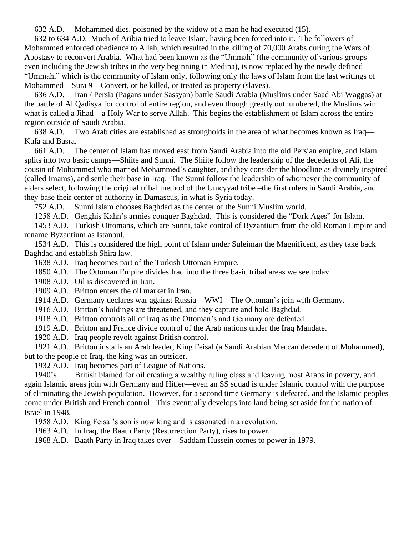632 A.D. Mohammed dies, poisoned by the widow of a man he had executed (15).

 632 to 634 A.D. Much of Aribia tried to leave Islam, having been forced into it. The followers of Mohammed enforced obedience to Allah, which resulted in the killing of 70,000 Arabs during the Wars of Apostasy to reconvert Arabia. What had been known as the "Ummah" (the community of various groups even including the Jewish tribes in the very beginning in Medina), is now replaced by the newly defined "Ummah," which is the community of Islam only, following only the laws of Islam from the last writings of Mohammed—Sura 9—Convert, or be killed, or treated as property (slaves).

 636 A.D. Iran / Persia (Pagans under Sassyan) battle Saudi Arabia (Muslims under Saad Abi Waggas) at the battle of Al Qadisya for control of entire region, and even though greatly outnumbered, the Muslims win what is called a Jihad—a Holy War to serve Allah. This begins the establishment of Islam across the entire region outside of Saudi Arabia.

 638 A.D. Two Arab cities are established as strongholds in the area of what becomes known as Iraq— Kufa and Basra.

 661 A.D. The center of Islam has moved east from Saudi Arabia into the old Persian empire, and Islam splits into two basic camps—Shiite and Sunni. The Shiite follow the leadership of the decedents of Ali, the cousin of Mohammed who married Mohammed's daughter, and they consider the bloodline as divinely inspired (called Imams), and settle their base in Iraq. The Sunni follow the leadership of whomever the community of elders select, following the original tribal method of the Umcyyad tribe –the first rulers in Saudi Arabia, and they base their center of authority in Damascus, in what is Syria today.

752 A.D. Sunni Islam chooses Baghdad as the center of the Sunni Muslim world.

1258 A.D. Genghis Kahn's armies conquer Baghdad. This is considered the "Dark Ages" for Islam.

 1453 A.D. Turkish Ottomans, which are Sunni, take control of Byzantium from the old Roman Empire and rename Byzantium as Istanbul.

 1534 A.D. This is considered the high point of Islam under Suleiman the Magnificent, as they take back Baghdad and establish Shira law.

1638 A.D. Iraq becomes part of the Turkish Ottoman Empire.

1850 A.D. The Ottoman Empire divides Iraq into the three basic tribal areas we see today.

1908 A.D. Oil is discovered in Iran.

1909 A.D. Britton enters the oil market in Iran.

1914 A.D. Germany declares war against Russia—WWI—The Ottoman's join with Germany.

1916 A.D. Britton's holdings are threatened, and they capture and hold Baghdad.

1918 A.D. Britton controls all of Iraq as the Ottoman's and Germany are defeated.

1919 A.D. Britton and France divide control of the Arab nations under the Iraq Mandate.

1920 A.D. Iraq people revolt against British control.

 1921 A.D. Britton installs an Arab leader, King Feisal (a Saudi Arabian Meccan decedent of Mohammed), but to the people of Iraq, the king was an outsider.

1932 A.D. Iraq becomes part of League of Nations.

 1940's British blamed for oil creating a wealthy ruling class and leaving most Arabs in poverty, and again Islamic areas join with Germany and Hitler—even an SS squad is under Islamic control with the purpose of eliminating the Jewish population. However, for a second time Germany is defeated, and the Islamic peoples come under British and French control. This eventually develops into land being set aside for the nation of Israel in 1948.

1958 A.D. King Feisal's son is now king and is assonated in a revolution.

1963 A.D. In Iraq, the Baath Party (Resurrection Party), rises to power.

1968 A.D. Baath Party in Iraq takes over—Saddam Hussein comes to power in 1979.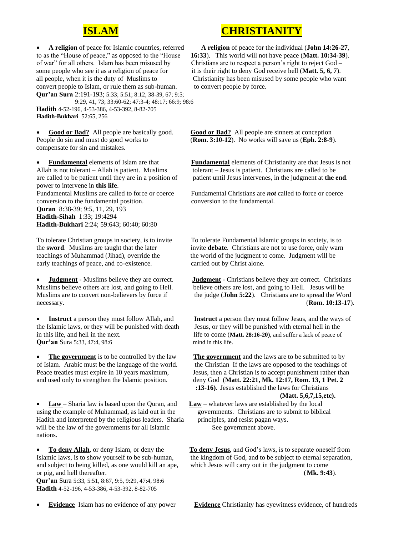

of war" for all others. Islam has been misused by Christians are to respect a person's right to reject God – some people who see it as a religion of peace for it is their right to deny God receive hell (**Matt. 5, 6, 7**). convert people to Islam, or rule them as sub-human. to convert people by force. **Qur'an Sura** 2:191-193; 5:33; 5:51; 8:12, 38-39, 67; 9:5; 9:29, 41, 73; 33:60-62; 47:3-4; 48:17; 66:9; 98:6

 **Hadith** 4-52-196, 4-53-386, 4-53-392, 8-82-705 **Hadith-Bukhari** 52:65, 256

compensate for sin and mistakes.

power to intervene in **this life**. conversion to the fundamental position. conversion to the fundamental. **Quran** 8:38-39; 9:5, 11, 29, 193 **Hadith-Sihah** 1:33; 19:4294 **Hadith-Bukhari** 2:24; 59:643; 60:40; 60:80

early teachings of peace, and co-existence. carried out by Christ alone.

**Qur'an** Sura 5:33, 47:4, 98:6 mind in this life.

• **Law** – Sharia law is based upon the Quran, and **Law** – whatever laws are established by the local using the example of Muhammad, as laid out in the governments. Christians are to submit to biblical Hadith and interpreted by the religious leaders. Sharia principles, and resist pagan ways. will be the law of the governments for all Islamic See government above. nations.

and subject to being killed, as one would kill an ape, which Jesus will carry out in the judgment to come

 **Qur'an** Sura 5:33, 5:51, 8:67, 9:5, 9:29, 47:4, 98:6 **Hadith** 4-52-196, 4-53-386, 4-53-392, 8-82-705

## **ISLAM CHRISTIANITY**

• **A religion** of peace for Islamic countries, referred **A religion** of peace for the individual (**John 14:26-27**, to as the "House of peace," as opposed to the "House **16:33**). This world will not have peace (**Matt. 10:34-39**). all people, when it is the duty of Muslims to Christianity has been misused by some people who want

• **Good or Bad?** All people are basically good. **Good or Bad?** All people are sinners at conception People do sin and must do good works to (**Rom. 3:10-12**). No works will save us (**Eph. 2:8-9**).

• **Fundamental** elements of Islam are that **Fundamental** elements of Christianity are that Jesus is not Allah is not tolerant – Allah is patient. Muslims tolerant – Jesus is patient. Christians are called to be are called to be patient until they are in a position of patient until Jesus intervenes, in the judgment at **the end**.

Fundamental Muslims are called to force or coerce Fundamental Christians are *not* called to force or coerce

To tolerate Christian groups in society, is to invite To tolerate Fundamental Islamic groups in society, is to the **sword**. Muslims are taught that the later invite **debate**. Christians are not to use force, only warn teachings of Muhammad (Jihad), override the the world of the judgment to come. Judgment will be

**Judgment** - Muslims believe they are correct. **Judgment** - Christians believe they are correct. Christians Muslims believe others are lost, and going to Hell. believe others are lost, and going to Hell. Jesus will be Muslims are to convert non-believers by force if the judge (**John 5:22**). Christians are to spread the Word necessary. (**Rom. 10:13-17**).

**Instruct** a person they must follow Allah, and **Instruct** a person they must follow Jesus, and the ways of the Islamic laws, or they will be punished with death Jesus, or they will be punished with eternal hell in the in this life, and hell in the next. life to come (**Matt. 28:16-20**), and suffer a lack of peace of

**The government** is to be controlled by the law **The government** and the laws are to be submitted to by of Islam. Arabic must be the language of the world. the Christian If the laws are opposed to the teachings of Peace treaties must expire in 10 years maximum, Jesus, then a Christian is to accept punishment rather than and used only to strengthen the Islamic position. deny God (**Matt. 22:21, Mk. 12:17, Rom. 13, 1 Pet. 2 :13-16)**. Jesus established the laws for Christians **(Matt. 5,6,7,15,etc).**

• **To deny Allah**, or deny Islam, or deny the **To deny Jesus**, and God's laws, is to separate oneself from Islamic laws, is to show yourself to be sub-human, the kingdom of God, and to be subject to eternal separation, or pig, and hell thereafter. (**Mk. 9:43**).

• **Evidence** Islam has no evidence of any power **Evidence** Christianity has eyewitness evidence, of hundreds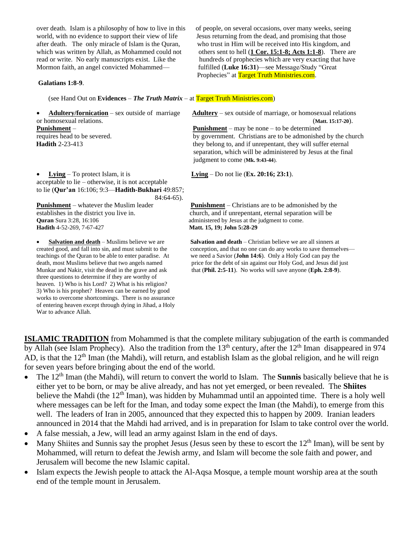Mormon faith, an angel convicted Mohammed— fulfilled (**Luke 16:31**)—see Message/Study "Great

#### **Galatians 1:8-9**.

(see Hand Out on **Evidences** – *The Truth Matrix* – at Target Truth Ministries.com)

or homosexual relations. (**Matt. 15:17-20**).

• **Lying** – To protect Islam, it is **Lying** – Do not lie (**Ex. 20:16; 23:1**). acceptable to lie – otherwise, it is not acceptable to lie (**Qur'an** 16:106; 9:3—**Hadith-Bukhari** 49:857; 84:64-65).

**Quran** Sura 3:28, 16:106 **administered by Jesus at the judgment to come. Hadith** 4-52-269, 7-67-427 **Matt. 15, 19; John 5:28-29**

three questions to determine if they are worthy of heaven. 1) Who is his Lord? 2) What is his religion? 3) Who is his prophet? Heaven can be earned by good works to overcome shortcomings. There is no assurance of entering heaven except through dying in Jihad, a Holy War to advance Allah.

over death. Islam is a philosophy of how to live in this of people, on several occasions, over many weeks, seeing world, with no evidence to support their view of life Jesus returning from the dead, and promising that those after death. The only miracle of Islam is the Quran, who trust in Him will be received into His kingdom, and which was written by Allah, as Mohammed could not others sent to hell (**1 Cor. 15:1-8; Acts 1:1-8**). There are read or write. No early manuscripts exist. Like the hundreds of prophecies which are very exacting that have Prophecies" at Target Truth Ministries.com.

• **Adultery/fornication** – sex outside of marriage **Adultery** – sex outside of marriage, or homosexual relations

**Punishment** – **Punishment** – **Punishment** – may be none – to be determined requires head to be severed. by government. Christians are to be admonished by the church **Hadith** 2-23-413 they belong to, and if unrepentant, they will suffer eternal separation, which will be administered by Jesus at the final judgment to come (**Mk. 9:43-44**).

**Punishment** – whatever the Muslim leader **Punishment** – Christians are to be admonished by the establishes in the district you live in. church, and if unrepentant, eternal separation will be

• **Salvation and death** – Muslims believe we are **Salvation and death** – Christian believe we are all sinners at created good, and fall into sin, and must submit to the conception, and that no one can do any works to save conception, and that no one can do any works to save themselves teachings of the Quran to be able to enter paradise. At we need a Savior (**John 14:6**). Only a Holy God can pay the death, most Muslims believe that two angels named price for the debt of sin against our Holy God, and Jesus did just<br>Munkar and Nakir, visit the dead in the grave and ask that (Phil. 2:5-11). No works will save anyone (Eph that  $(Phi. 2:5-11)$ . No works will save anyone  $(Eph. 2:8-9)$ .

**ISLAMIC TRADITION** from Mohammed is that the complete military subjugation of the earth is commanded by Allah (see Islam Prophecy). Also the tradition from the  $13<sup>th</sup>$  century, after the  $12<sup>th</sup>$  Iman disappeared in 974 AD, is that the  $12<sup>th</sup>$  Iman (the Mahdi), will return, and establish Islam as the global religion, and he will reign for seven years before bringing about the end of the world.

- The 12th Iman (the Mahdi), will return to convert the world to Islam. The **Sunnis** basically believe that he is either yet to be born, or may be alive already, and has not yet emerged, or been revealed. The **Shiites** believe the Mahdi (the 12<sup>th</sup> Iman), was hidden by Muhammad until an appointed time. There is a holy well where messages can be left for the Iman, and today some expect the Iman (the Mahdi), to emerge from this well. The leaders of Iran in 2005, announced that they expected this to happen by 2009. Iranian leaders announced in 2014 that the Mahdi had arrived, and is in preparation for Islam to take control over the world.
- A false messiah, a Jew, will lead an army against Islam in the end of days.
- Many Shiites and Sunnis say the prophet Jesus (Jesus seen by these to escort the 12<sup>th</sup> Iman), will be sent by Mohammed, will return to defeat the Jewish army, and Islam will become the sole faith and power, and Jerusalem will become the new Islamic capital.
- Islam expects the Jewish people to attack the Al-Aqsa Mosque, a temple mount worship area at the south end of the temple mount in Jerusalem.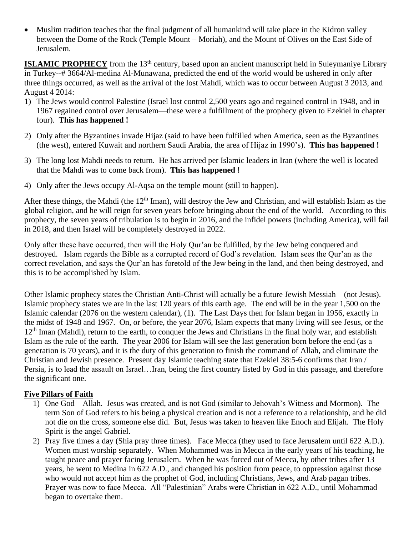• Muslim tradition teaches that the final judgment of all humankind will take place in the Kidron valley between the Dome of the Rock (Temple Mount – Moriah), and the Mount of Olives on the East Side of Jerusalem.

**ISLAMIC PROPHECY** from the 13<sup>th</sup> century, based upon an ancient manuscript held in Suleymaniye Library in Turkey--# 3664/Al-medina Al-Munawana, predicted the end of the world would be ushered in only after three things occurred, as well as the arrival of the lost Mahdi, which was to occur between August 3 2013, and August 4 2014:

- 1) The Jews would control Palestine (Israel lost control 2,500 years ago and regained control in 1948, and in 1967 regained control over Jerusalem—these were a fulfillment of the prophecy given to Ezekiel in chapter four). **This has happened !**
- 2) Only after the Byzantines invade Hijaz (said to have been fulfilled when America, seen as the Byzantines (the west), entered Kuwait and northern Saudi Arabia, the area of Hijaz in 1990's). **This has happened !**
- 3) The long lost Mahdi needs to return. He has arrived per Islamic leaders in Iran (where the well is located that the Mahdi was to come back from). **This has happened !**
- 4) Only after the Jews occupy Al-Aqsa on the temple mount (still to happen).

After these things, the Mahdi (the  $12<sup>th</sup>$  Iman), will destroy the Jew and Christian, and will establish Islam as the global religion, and he will reign for seven years before bringing about the end of the world. According to this prophecy, the seven years of tribulation is to begin in 2016, and the infidel powers (including America), will fail in 2018, and then Israel will be completely destroyed in 2022.

Only after these have occurred, then will the Holy Qur'an be fulfilled, by the Jew being conquered and destroyed. Islam regards the Bible as a corrupted record of God's revelation. Islam sees the Qur'an as the correct revelation, and says the Qur'an has foretold of the Jew being in the land, and then being destroyed, and this is to be accomplished by Islam.

Other Islamic prophecy states the Christian Anti-Christ will actually be a future Jewish Messiah – (not Jesus). Islamic prophecy states we are in the last 120 years of this earth age. The end will be in the year 1,500 on the Islamic calendar (2076 on the western calendar), (1). The Last Days then for Islam began in 1956, exactly in the midst of 1948 and 1967. On, or before, the year 2076, Islam expects that many living will see Jesus, or the 12<sup>th</sup> Iman (Mahdi), return to the earth, to conquer the Jews and Christians in the final holy war, and establish Islam as the rule of the earth. The year 2006 for Islam will see the last generation born before the end (as a generation is 70 years), and it is the duty of this generation to finish the command of Allah, and eliminate the Christian and Jewish presence. Present day Islamic teaching state that Ezekiel 38:5-6 confirms that Iran / Persia, is to lead the assault on Israel…Iran, being the first country listed by God in this passage, and therefore the significant one.

#### **Five Pillars of Faith**

- 1) One God Allah. Jesus was created, and is not God (similar to Jehovah's Witness and Mormon). The term Son of God refers to his being a physical creation and is not a reference to a relationship, and he did not die on the cross, someone else did. But, Jesus was taken to heaven like Enoch and Elijah. The Holy Spirit is the angel Gabriel.
- 2) Pray five times a day (Shia pray three times). Face Mecca (they used to face Jerusalem until 622 A.D.). Women must worship separately. When Mohammed was in Mecca in the early years of his teaching, he taught peace and prayer facing Jerusalem. When he was forced out of Mecca, by other tribes after 13 years, he went to Medina in 622 A.D., and changed his position from peace, to oppression against those who would not accept him as the prophet of God, including Christians, Jews, and Arab pagan tribes. Prayer was now to face Mecca. All "Palestinian" Arabs were Christian in 622 A.D., until Mohammad began to overtake them.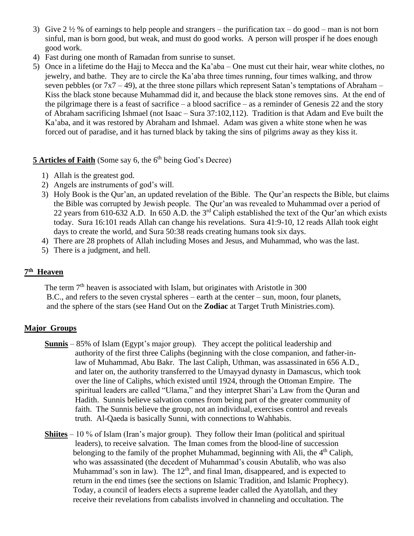- 3) Give 2  $\frac{1}{2}$  % of earnings to help people and strangers the purification tax do good man is not born sinful, man is born good, but weak, and must do good works. A person will prosper if he does enough good work.
- 4) Fast during one month of Ramadan from sunrise to sunset.
- 5) Once in a lifetime do the Hajj to Mecca and the Ka'aba One must cut their hair, wear white clothes, no jewelry, and bathe. They are to circle the Ka'aba three times running, four times walking, and throw seven pebbles (or  $7x7 - 49$ ), at the three stone pillars which represent Satan's temptations of Abraham – Kiss the black stone because Muhammad did it, and because the black stone removes sins. At the end of the pilgrimage there is a feast of sacrifice – a blood sacrifice – as a reminder of Genesis 22 and the story of Abraham sacrificing Ishmael (not Isaac – Sura 37:102,112). Tradition is that Adam and Eve built the Ka'aba, and it was restored by Abraham and Ishmael. Adam was given a white stone when he was forced out of paradise, and it has turned black by taking the sins of pilgrims away as they kiss it.

### **5 Articles of Faith** (Some say 6, the 6<sup>th</sup> being God's Decree)

- 1) Allah is the greatest god.
- 2) Angels are instruments of god's will.
- 3) Holy Book is the Qur'an, an updated revelation of the Bible. The Qur'an respects the Bible, but claims the Bible was corrupted by Jewish people. The Qur'an was revealed to Muhammad over a period of 22 years from 610-632 A.D. In 650 A.D. the 3rd Caliph established the text of the Qur'an which exists today. Sura 16:101 reads Allah can change his revelations. Sura 41:9-10, 12 reads Allah took eight days to create the world, and Sura 50:38 reads creating humans took six days.
- 4) There are 28 prophets of Allah including Moses and Jesus, and Muhammad, who was the last.
- 5) There is a judgment, and hell.

#### **7 th Heaven**

The term  $7<sup>th</sup>$  heaven is associated with Islam, but originates with Aristotle in 300 B.C., and refers to the seven crystal spheres – earth at the center – sun, moon, four planets, and the sphere of the stars (see Hand Out on the **Zodiac** at Target Truth Ministries.com).

#### **Major Groups**

- **Sunnis** 85% of Islam (Egypt's major group). They accept the political leadership and authority of the first three Caliphs (beginning with the close companion, and father-in law of Muhammad, Abu Bakr. The last Caliph, Uthman, was assassinated in 656 A.D., and later on, the authority transferred to the Umayyad dynasty in Damascus, which took over the line of Caliphs, which existed until 1924, through the Ottoman Empire. The spiritual leaders are called "Ulama," and they interpret Shari'a Law from the Quran and Hadith. Sunnis believe salvation comes from being part of the greater community of faith. The Sunnis believe the group, not an individual, exercises control and reveals truth. Al-Qaeda is basically Sunni, with connections to Wahhabis.
- **Shiites** 10 % of Islam (Iran's major group). They follow their Iman (political and spiritual leaders), to receive salvation. The Iman comes from the blood-line of succession belonging to the family of the prophet Muhammad, beginning with Ali, the  $4<sup>th</sup>$  Caliph, who was assassinated (the decedent of Muhammad's cousin Abutalib, who was also Muhammad's son in law). The  $12<sup>th</sup>$ , and final Iman, disappeared, and is expected to return in the end times (see the sections on Islamic Tradition, and Islamic Prophecy). Today, a council of leaders elects a supreme leader called the Ayatollah, and they receive their revelations from cabalists involved in channeling and occultation. The